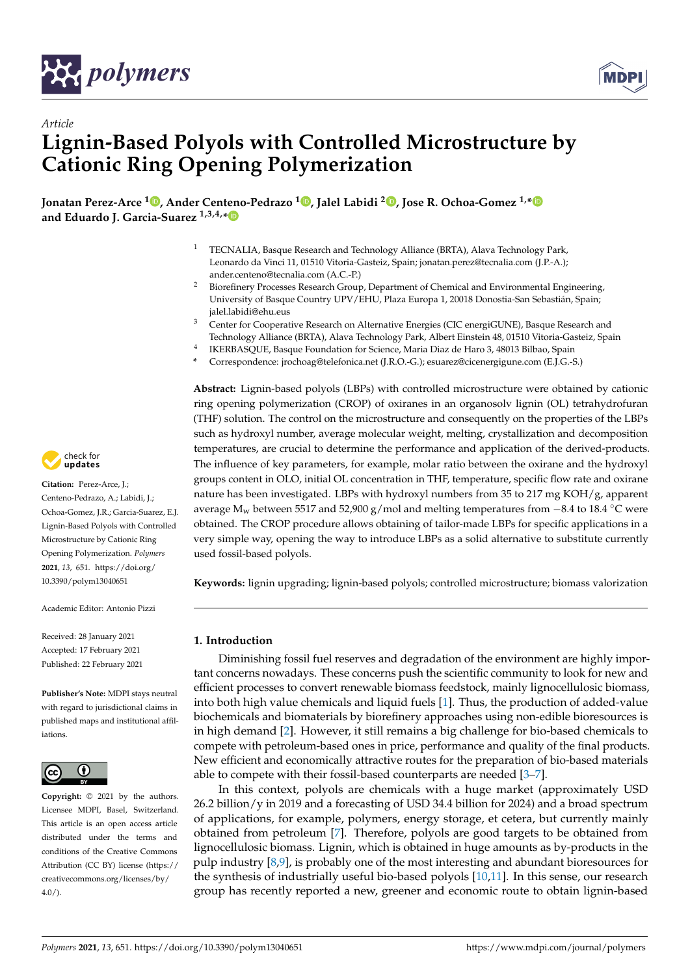

*Article*



# **Lignin-Based Polyols with Controlled Microstructure by Cationic Ring Opening Polymerization**

**Jonatan Perez-Arce <sup>1</sup> [,](https://orcid.org/0000-0002-4806-5730) Ander Centeno-Pedrazo [1](https://orcid.org/0000-0002-3397-9986) , Jalel Labidi <sup>2</sup> [,](https://orcid.org/0000-0002-8382-9492) Jose R. Ochoa-Gomez 1,[\\*](https://orcid.org/0000-0002-2881-6170) and Eduardo J. Garcia-Suarez 1,3,4,[\\*](https://orcid.org/0000-0001-5309-3050)**

- <sup>1</sup> TECNALIA, Basque Research and Technology Alliance (BRTA), Alava Technology Park, Leonardo da Vinci 11, 01510 Vitoria-Gasteiz, Spain; jonatan.perez@tecnalia.com (J.P.-A.); ander.centeno@tecnalia.com (A.C.-P.)
- <sup>2</sup> Biorefinery Processes Research Group, Department of Chemical and Environmental Engineering, University of Basque Country UPV/EHU, Plaza Europa 1, 20018 Donostia-San Sebastián, Spain; jalel.labidi@ehu.eus
- <sup>3</sup> Center for Cooperative Research on Alternative Energies (CIC energiGUNE), Basque Research and Technology Alliance (BRTA), Alava Technology Park, Albert Einstein 48, 01510 Vitoria-Gasteiz, Spain
- 4 IKERBASQUE, Basque Foundation for Science, Maria Diaz de Haro 3, 48013 Bilbao, Spain
- **\*** Correspondence: jrochoag@telefonica.net (J.R.O.-G.); esuarez@cicenergigune.com (E.J.G.-S.)

**Abstract:** Lignin-based polyols (LBPs) with controlled microstructure were obtained by cationic ring opening polymerization (CROP) of oxiranes in an organosolv lignin (OL) tetrahydrofuran (THF) solution. The control on the microstructure and consequently on the properties of the LBPs such as hydroxyl number, average molecular weight, melting, crystallization and decomposition temperatures, are crucial to determine the performance and application of the derived-products. The influence of key parameters, for example, molar ratio between the oxirane and the hydroxyl groups content in OLO, initial OL concentration in THF, temperature, specific flow rate and oxirane nature has been investigated. LBPs with hydroxyl numbers from 35 to 217 mg KOH/g, apparent average  $M_w$  between 5517 and 52,900 g/mol and melting temperatures from  $-8.4$  to 18.4 °C were obtained. The CROP procedure allows obtaining of tailor-made LBPs for specific applications in a very simple way, opening the way to introduce LBPs as a solid alternative to substitute currently used fossil-based polyols.

**Keywords:** lignin upgrading; lignin-based polyols; controlled microstructure; biomass valorization

# **1. Introduction**

Diminishing fossil fuel reserves and degradation of the environment are highly important concerns nowadays. These concerns push the scientific community to look for new and efficient processes to convert renewable biomass feedstock, mainly lignocellulosic biomass, into both high value chemicals and liquid fuels [\[1\]](#page-10-0). Thus, the production of added-value biochemicals and biomaterials by biorefinery approaches using non-edible bioresources is in high demand [\[2\]](#page-10-1). However, it still remains a big challenge for bio-based chemicals to compete with petroleum-based ones in price, performance and quality of the final products. New efficient and economically attractive routes for the preparation of bio-based materials able to compete with their fossil-based counterparts are needed [\[3–](#page-10-2)[7\]](#page-10-3).

In this context, polyols are chemicals with a huge market (approximately USD 26.2 billion/y in 2019 and a forecasting of USD 34.4 billion for 2024) and a broad spectrum of applications, for example, polymers, energy storage, et cetera, but currently mainly obtained from petroleum [\[7\]](#page-10-3). Therefore, polyols are good targets to be obtained from lignocellulosic biomass. Lignin, which is obtained in huge amounts as by-products in the pulp industry [\[8,](#page-10-4)[9\]](#page-10-5), is probably one of the most interesting and abundant bioresources for the synthesis of industrially useful bio-based polyols [\[10](#page-10-6)[,11\]](#page-10-7). In this sense, our research group has recently reported a new, greener and economic route to obtain lignin-based



**Citation:** Perez-Arce, J.; Centeno-Pedrazo, A.; Labidi, J.; Ochoa-Gomez, J.R.; Garcia-Suarez, E.J. Lignin-Based Polyols with Controlled Microstructure by Cationic Ring Opening Polymerization. *Polymers* **2021**, *13*, 651. [https://doi.org/](https://doi.org/10.3390/polym13040651) [10.3390/polym13040651](https://doi.org/10.3390/polym13040651)

Academic Editor: Antonio Pizzi

Received: 28 January 2021 Accepted: 17 February 2021 Published: 22 February 2021

**Publisher's Note:** MDPI stays neutral with regard to jurisdictional claims in published maps and institutional affiliations.



**Copyright:** © 2021 by the authors. Licensee MDPI, Basel, Switzerland. This article is an open access article distributed under the terms and conditions of the Creative Commons Attribution (CC BY) license (https:/[/](https://creativecommons.org/licenses/by/4.0/) [creativecommons.org/licenses/by/](https://creativecommons.org/licenses/by/4.0/)  $4.0/$ ).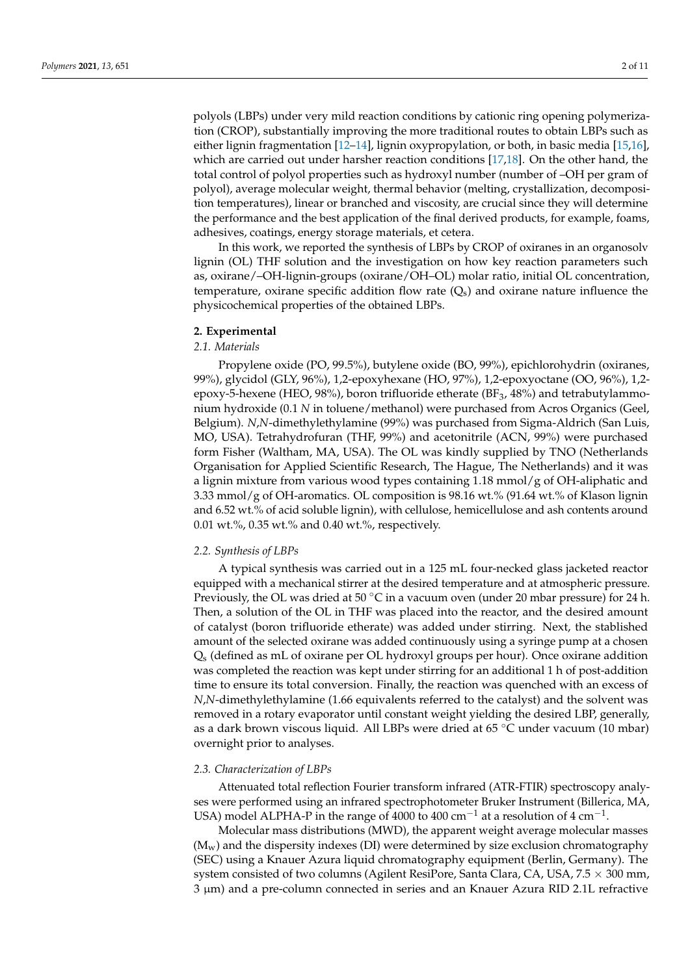polyols (LBPs) under very mild reaction conditions by cationic ring opening polymerization (CROP), substantially improving the more traditional routes to obtain LBPs such as either lignin fragmentation [\[12–](#page-10-8)[14\]](#page-10-9), lignin oxypropylation, or both, in basic media [\[15](#page-10-10)[,16\]](#page-10-11), which are carried out under harsher reaction conditions [\[17](#page-10-12)[,18\]](#page-10-13). On the other hand, the total control of polyol properties such as hydroxyl number (number of –OH per gram of polyol), average molecular weight, thermal behavior (melting, crystallization, decomposition temperatures), linear or branched and viscosity, are crucial since they will determine the performance and the best application of the final derived products, for example, foams, adhesives, coatings, energy storage materials, et cetera.

In this work, we reported the synthesis of LBPs by CROP of oxiranes in an organosolv lignin (OL) THF solution and the investigation on how key reaction parameters such as, oxirane/–OH-lignin-groups (oxirane/OH–OL) molar ratio, initial OL concentration, temperature, oxirane specific addition flow rate  $(Q_s)$  and oxirane nature influence the physicochemical properties of the obtained LBPs.

# **2. Experimental**

# *2.1. Materials*

Propylene oxide (PO, 99.5%), butylene oxide (BO, 99%), epichlorohydrin (oxiranes, 99%), glycidol (GLY, 96%), 1,2-epoxyhexane (HO, 97%), 1,2-epoxyoctane (OO, 96%), 1,2 epoxy-5-hexene (HEO, 98%), boron trifluoride etherate ( $BF_3$ , 48%) and tetrabutylammonium hydroxide (0.1 *N* in toluene/methanol) were purchased from Acros Organics (Geel, Belgium). *N*,*N*-dimethylethylamine (99%) was purchased from Sigma-Aldrich (San Luis, MO, USA). Tetrahydrofuran (THF, 99%) and acetonitrile (ACN, 99%) were purchased form Fisher (Waltham, MA, USA). The OL was kindly supplied by TNO (Netherlands Organisation for Applied Scientific Research, The Hague, The Netherlands) and it was a lignin mixture from various wood types containing 1.18 mmol/g of OH-aliphatic and 3.33 mmol/g of OH-aromatics. OL composition is 98.16 wt.% (91.64 wt.% of Klason lignin and 6.52 wt.% of acid soluble lignin), with cellulose, hemicellulose and ash contents around 0.01 wt.%, 0.35 wt.% and 0.40 wt.%, respectively.

#### *2.2. Synthesis of LBPs*

A typical synthesis was carried out in a 125 mL four-necked glass jacketed reactor equipped with a mechanical stirrer at the desired temperature and at atmospheric pressure. Previously, the OL was dried at 50  $\degree$ C in a vacuum oven (under 20 mbar pressure) for 24 h. Then, a solution of the OL in THF was placed into the reactor, and the desired amount of catalyst (boron trifluoride etherate) was added under stirring. Next, the stablished amount of the selected oxirane was added continuously using a syringe pump at a chosen Q<sup>s</sup> (defined as mL of oxirane per OL hydroxyl groups per hour). Once oxirane addition was completed the reaction was kept under stirring for an additional 1 h of post-addition time to ensure its total conversion. Finally, the reaction was quenched with an excess of *N*,*N*-dimethylethylamine (1.66 equivalents referred to the catalyst) and the solvent was removed in a rotary evaporator until constant weight yielding the desired LBP, generally, as a dark brown viscous liquid. All LBPs were dried at 65 ◦C under vacuum (10 mbar) overnight prior to analyses.

#### *2.3. Characterization of LBPs*

Attenuated total reflection Fourier transform infrared (ATR-FTIR) spectroscopy analyses were performed using an infrared spectrophotometer Bruker Instrument (Billerica, MA, USA) model ALPHA-P in the range of 4000 to 400 cm<sup>-1</sup> at a resolution of 4 cm<sup>-1</sup>.

Molecular mass distributions (MWD), the apparent weight average molecular masses  $(M_w)$  and the dispersity indexes (DI) were determined by size exclusion chromatography (SEC) using a Knauer Azura liquid chromatography equipment (Berlin, Germany). The system consisted of two columns (Agilent ResiPore, Santa Clara, CA, USA,  $7.5 \times 300$  mm, 3 µm) and a pre-column connected in series and an Knauer Azura RID 2.1L refractive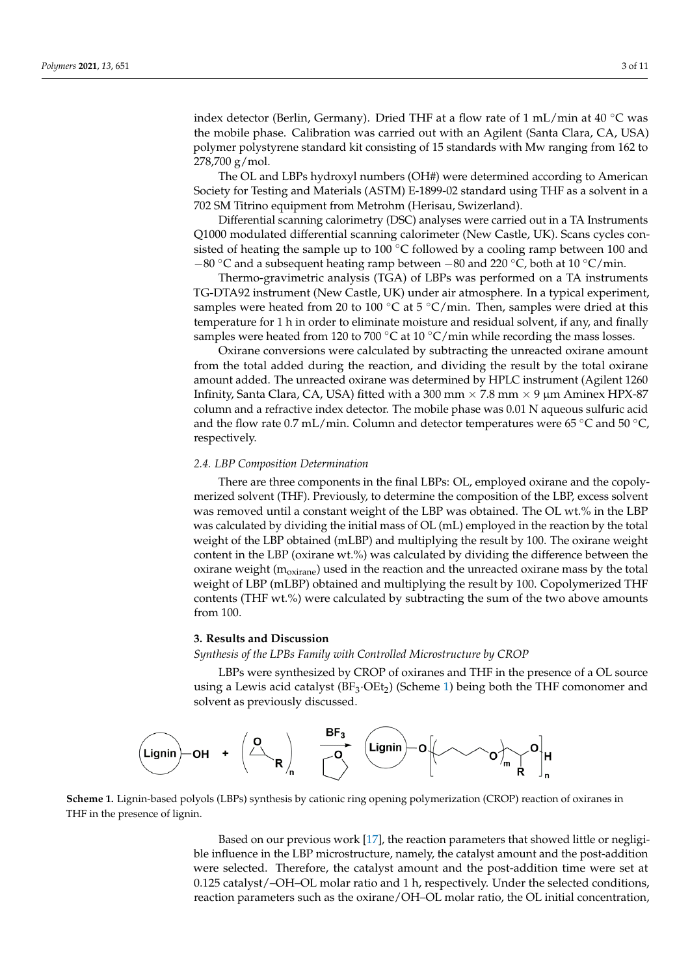index detector (Berlin, Germany). Dried THF at a flow rate of 1 mL/min at 40 ◦C was the mobile phase. Calibration was carried out with an Agilent (Santa Clara, CA, USA) polymer polystyrene standard kit consisting of 15 standards with Mw ranging from 162 to 278,700 g/mol.

The OL and LBPs hydroxyl numbers (OH#) were determined according to American Society for Testing and Materials (ASTM) E-1899-02 standard using THF as a solvent in a 702 SM Titrino equipment from Metrohm (Herisau, Swizerland).

Differential scanning calorimetry (DSC) analyses were carried out in a TA Instruments Q1000 modulated differential scanning calorimeter (New Castle, UK). Scans cycles consisted of heating the sample up to 100  $\degree$ C followed by a cooling ramp between 100 and −80 °C and a subsequent heating ramp between −80 and 220 °C, both at 10 °C/min.

Thermo-gravimetric analysis (TGA) of LBPs was performed on a TA instruments TG-DTA92 instrument (New Castle, UK) under air atmosphere. In a typical experiment, samples were heated from 20 to 100 °C at 5 °C/min. Then, samples were dried at this temperature for 1 h in order to eliminate moisture and residual solvent, if any, and finally samples were heated from 120 to 700 °C at 10 °C/min while recording the mass losses.

Oxirane conversions were calculated by subtracting the unreacted oxirane amount from the total added during the reaction, and dividing the result by the total oxirane amount added. The unreacted oxirane was determined by HPLC instrument (Agilent 1260 Infinity, Santa Clara, CA, USA) fitted with a 300 mm  $\times$  7.8 mm  $\times$  9 µm Aminex HPX-87 column and a refractive index detector. The mobile phase was 0.01 N aqueous sulfuric acid and the flow rate 0.7 mL/min. Column and detector temperatures were 65 °C and 50 °C, respectively.

#### *2.4. LBP Composition Determination*

There are three components in the final LBPs: OL, employed oxirane and the copolymerized solvent (THF). Previously, to determine the composition of the LBP, excess solvent was removed until a constant weight of the LBP was obtained. The OL wt.% in the LBP was calculated by dividing the initial mass of OL (mL) employed in the reaction by the total weight of the LBP obtained (mLBP) and multiplying the result by 100. The oxirane weight content in the LBP (oxirane wt.%) was calculated by dividing the difference between the oxirane weight  $(m_{oxirane})$  used in the reaction and the unreacted oxirane mass by the total weight of LBP (mLBP) obtained and multiplying the result by 100. Copolymerized THF contents (THF wt.%) were calculated by subtracting the sum of the two above amounts from 100.

# **3. Results and Discussion**

*Synthesis of the LPBs Family with Controlled Microstructure by CROP*

<span id="page-2-0"></span>LBPs were synthesized by CROP of oxiranes and THF in the presence of a OL source using a Lewis acid catalyst ( $BF_3 \cdot OEt_2$ ) (Scheme [1\)](#page-2-0) being both the THF comonomer and solvent as previously discussed.



**Scheme 1.** Lignin-based polyols (LBPs) synthesis by cationic ring opening polymerization (CROP) reaction of oxiranes in<br>——————————————————— reaction of oxiranes in the presence of  $\mathbf{r}$  in the presence of ligning. THF in the presence of lignin.

Based on our previous work [17], the reaction parameters that showed little or ble influence in the LBP microstructure, namely, the catalyst amount and the post-addition be influence in the LBP microstructure, namely, the catalyst amount and the post-addition time were set at at 0.125 catalyst/–OH–OL molar ratio and 1 h, respectively. Under the selected conditions, set at 0.125 catalyster at 0.125 catalyster and 1.1,  $\frac{1}{2}$  catalogue of  $\frac{1}{2}$ , respectively. The selection respectively. reaction parameters such as the oxirane/OH–OL molar ratio, the OL initial concentration, Based on our previous work [\[17\]](#page-10-12), the reaction parameters that showed little or negligi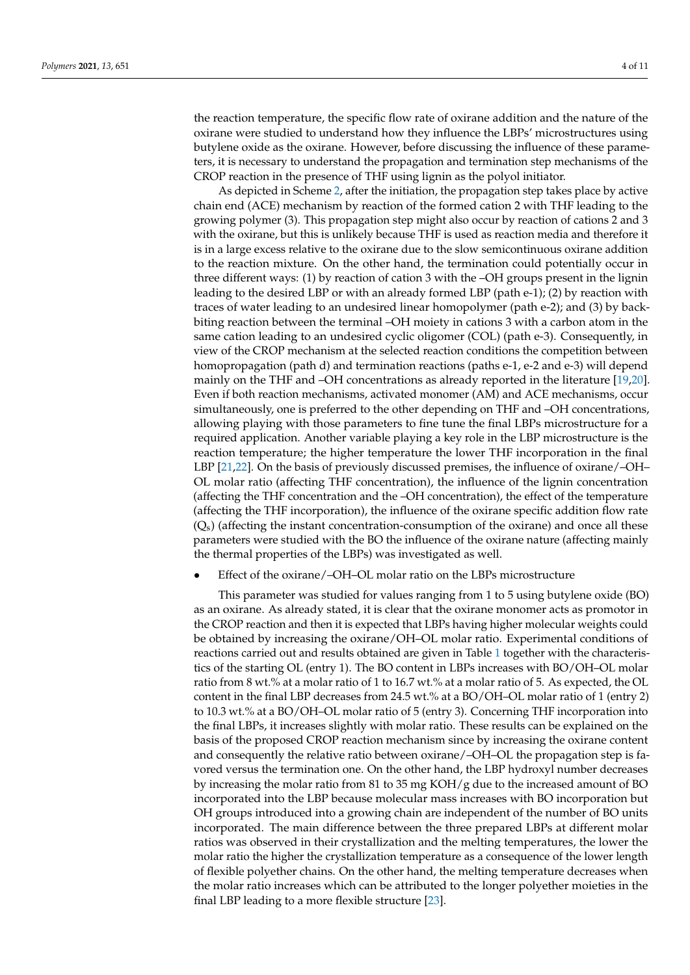the reaction temperature, the specific flow rate of oxirane addition and the nature of the oxirane were studied to understand how they influence the LBPs' microstructures using butylene oxide as the oxirane. However, before discussing the influence of these parameters, it is necessary to understand the propagation and termination step mechanisms of the CROP reaction in the presence of THF using lignin as the polyol initiator.

As depicted in Scheme [2,](#page-4-0) after the initiation, the propagation step takes place by active chain end (ACE) mechanism by reaction of the formed cation 2 with THF leading to the growing polymer (3). This propagation step might also occur by reaction of cations 2 and 3 with the oxirane, but this is unlikely because THF is used as reaction media and therefore it is in a large excess relative to the oxirane due to the slow semicontinuous oxirane addition to the reaction mixture. On the other hand, the termination could potentially occur in three different ways: (1) by reaction of cation 3 with the –OH groups present in the lignin leading to the desired LBP or with an already formed LBP (path e-1); (2) by reaction with traces of water leading to an undesired linear homopolymer (path e-2); and (3) by backbiting reaction between the terminal –OH moiety in cations 3 with a carbon atom in the same cation leading to an undesired cyclic oligomer (COL) (path e-3). Consequently, in view of the CROP mechanism at the selected reaction conditions the competition between homopropagation (path d) and termination reactions (paths e-1, e-2 and e-3) will depend mainly on the THF and –OH concentrations as already reported in the literature [\[19,](#page-10-14)[20\]](#page-10-15). Even if both reaction mechanisms, activated monomer (AM) and ACE mechanisms, occur simultaneously, one is preferred to the other depending on THF and –OH concentrations, allowing playing with those parameters to fine tune the final LBPs microstructure for a required application. Another variable playing a key role in the LBP microstructure is the reaction temperature; the higher temperature the lower THF incorporation in the final LBP [\[21](#page-10-16)[,22\]](#page-10-17). On the basis of previously discussed premises, the influence of oxirane/–OH– OL molar ratio (affecting THF concentration), the influence of the lignin concentration (affecting the THF concentration and the –OH concentration), the effect of the temperature (affecting the THF incorporation), the influence of the oxirane specific addition flow rate  $(Q<sub>s</sub>)$  (affecting the instant concentration-consumption of the oxirane) and once all these parameters were studied with the BO the influence of the oxirane nature (affecting mainly the thermal properties of the LBPs) was investigated as well.

• Effect of the oxirane/–OH–OL molar ratio on the LBPs microstructure

This parameter was studied for values ranging from 1 to 5 using butylene oxide (BO) as an oxirane. As already stated, it is clear that the oxirane monomer acts as promotor in the CROP reaction and then it is expected that LBPs having higher molecular weights could be obtained by increasing the oxirane/OH–OL molar ratio. Experimental conditions of reactions carried out and results obtained are given in Table [1](#page-4-1) together with the characteristics of the starting OL (entry 1). The BO content in LBPs increases with BO/OH–OL molar ratio from 8 wt.% at a molar ratio of 1 to 16.7 wt.% at a molar ratio of 5. As expected, the OL content in the final LBP decreases from 24.5 wt.% at a BO/OH–OL molar ratio of 1 (entry 2) to 10.3 wt.% at a BO/OH–OL molar ratio of 5 (entry 3). Concerning THF incorporation into the final LBPs, it increases slightly with molar ratio. These results can be explained on the basis of the proposed CROP reaction mechanism since by increasing the oxirane content and consequently the relative ratio between oxirane/–OH–OL the propagation step is favored versus the termination one. On the other hand, the LBP hydroxyl number decreases by increasing the molar ratio from 81 to 35 mg KOH/g due to the increased amount of BO incorporated into the LBP because molecular mass increases with BO incorporation but OH groups introduced into a growing chain are independent of the number of BO units incorporated. The main difference between the three prepared LBPs at different molar ratios was observed in their crystallization and the melting temperatures, the lower the molar ratio the higher the crystallization temperature as a consequence of the lower length of flexible polyether chains. On the other hand, the melting temperature decreases when the molar ratio increases which can be attributed to the longer polyether moieties in the final LBP leading to a more flexible structure [\[23\]](#page-10-18).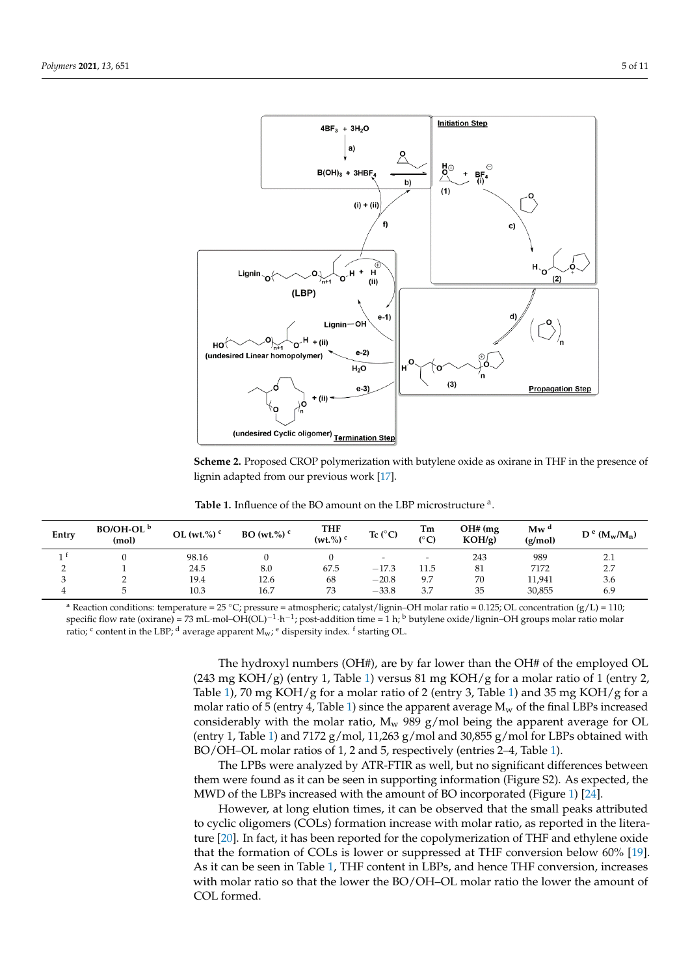<span id="page-4-0"></span>

**Scheme 2.** Proposed CROP polymerization with butylene oxide as oxirane in THF in the presence **Scheme 2.** Proposed CROP polymerization with butylene oxide as oxirane in THF in the presence of lignin adapted from our previous w[ork \[](#page-10-12)17].

<span id="page-4-1"></span>

| Entry | $BO/OH-OLb$<br>(mol) | OL (wt.%) $c$ | BO (wt.%) $c$ | THF<br>$(wt,\%)$ <sup>c</sup> | Tc $(^{\circ}C)$         | Tm<br>$(^\circ C)$       | $OH#$ (mg)<br>KOH/g | Mw <sup>d</sup><br>(g/mol) | $D^e (M_w/M_n)$ |
|-------|----------------------|---------------|---------------|-------------------------------|--------------------------|--------------------------|---------------------|----------------------------|-----------------|
|       |                      | 98.16         |               |                               | $\overline{\phantom{0}}$ | $\overline{\phantom{0}}$ | 243                 | 989                        | 2.1             |
|       |                      | 24.5          | 8.0           | 67.5                          | $-17.3$                  | 11.5                     | 81                  | 7172                       | 2.7             |
|       |                      | 19.4          | 12.6          | 68                            | $-20.8$                  | 9.7                      | 70                  | 11,941                     | 3.6             |
|       |                      | 10.3          | 16.7          | 73                            | $-33.8$                  | 3.7                      | 35                  | 30,855                     | 6.9             |

Table 1. Influence of the BO amount on the LBP microstructure <sup>a</sup>.

<sup>a</sup> Reaction conditions: temperature = 25 °C; pressure = atmospheric; catalyst/lignin–OH molar ratio = 0.125; OL concentration (g/L) = 110; specific flow rate (oxirane) = 73 mL·mol–OH(OL)<sup>-1</sup>⋅h<sup>-1</sup>; post-addition time = 1 h; <sup>b</sup> butylene oxide/lignin–OH groups molar ratio molar ratio;  $\rm ^c$  content in the LBP;  $\rm ^d$  average apparent  $\rm M_w$ ;  $\rm ^e$  dispersity index.  $\rm ^f$  starting OL.

> The hydroxyl numbers (OH#), are by far lower than the OH# of the employed OL  $(243 \text{ mg KOH/g})$  (entry 1, Table [1\)](#page-4-1) versus 81 mg KOH/g for a molar ratio of 1 (entry 2, Table [1\)](#page-4-1), 70 mg KOH/g for a molar ratio of 2 (entry 3, Table 1) and 35 mg KOH/g for a molar ratio of 5 (entry 4, Table [1\)](#page-4-1) since the apparent average  $M_w$  of the final LBPs increased considerably with the molar ratio,  $M_w$  989 g/mol being the apparent average for OL (entry 1, Table [1\)](#page-4-1) and 7172 g/mol, 11,263 g/mol and 30,855 g/mol for LBPs obtained with BO/OH–OL molar ratios of 1, 2 and 5, respectively (entries 2–4, Table [1\)](#page-4-1).

> The LPBs were analyzed by ATR-FTIR as well, but no significant differences between them were found as it can be seen in supporting information (Figure S2). As expected, the  $\overline{\text{MTP}}$  of  $\overline{\text{NTP}}$ MWD of the LBPs increased with the amount of BO incorporated (Figure [1\)](#page-5-0) [\[24\]](#page-10-19).

> However, at long elution times, it can be observed that the small peaks attributed to  $\frac{1}{100}$ ture [\[20\]](#page-10-15). In fact, it has been reported for the copolymerization of THF and ethylene oxide ture [20]. that the formation of COLs is lower or suppressed at THF conversion below  $60\%$  [\[19\]](#page-10-14). As it can be seen in Table [1,](#page-4-1) THF content in LBPs, and hence THF conversion, increases The 1),  $T_{\rm eff}$  may be the 1),  $T_{\rm eff}$  molecular ratio of  $T_{\rm eff}$  and  $\sigma$  and  $\sigma$  and  $\sigma$  for a molecular ratio  $\sigma$  and  $\sigma$  for a molecular ratio  $\sigma$ with molar ratio so that the lower the BO/OH–OL molar ratio the lower the amount of COI formed  $cc$  ratio,  $M_{\rm g}$ to cyclic oligomers (COLs) formation increase with molar ratio, as reported in the litera-COL formed.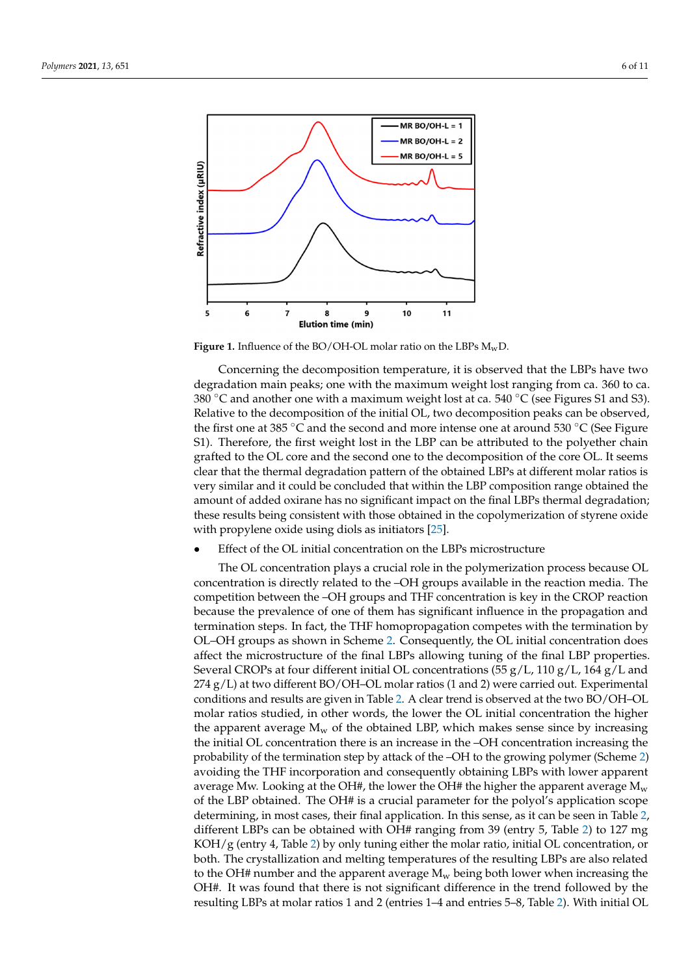<span id="page-5-0"></span>

**Figure 1.** Influence of the BO/OH-OL molar ratio on the LBPs MwD. **Figure 1.** Influence of the BO/OH-OL molar ratio on the LBPs MwD.

Concerning the decomposition temperature, it is observed that the LBPs have two degradation main peaks; one with the maximum weight lost ranging from ca. 360 to ca. 380 °C and another one with a maximum weight lost at ca. 540 °C (see Figures S1 and S3). Relative to the decomposition of the initial OL, two decomposition peaks can be observed,<br> $\frac{1}{100}$ the first one at 385 °C and the second and more intense one at around 530 °C (See Figure S1). Therefore, the first weight lost in the LBP can be attributed to the polyether chain  $\alpha$ grafted to the OL core and the second one to the decomposition of the core OL. It seems clear that the thermal degradation pattern of the obtained LBPs at different molar ratios is<br>composition and it result be concluded that within the LBPs composition mass at this red that edge in main and it could be concreted that whilm the BBT composition range obtained the amount of added oxirane has no significant impact on the final LBPs thermal degradation;  $\frac{3800 \text{ m}}{\text{m}}$  and  $\frac{3400 \text{ m}}{\text{m}}$  and  $\frac{3400 \text{ m}}{\text{m}}$  and  $\frac{3400 \text{ m}}{\text{m}}$  and  $\frac{3400 \text{ m}}{\text{m}}$  and  $\frac{3400 \text{ m}}{\text{m}}$  and  $\frac{3400 \text{ m}}{\text{m}}$  and  $\frac{3400 \text{ m}}{\text{m}}$  and  $\frac{3400 \text{ m}}{\text{m}}$  and  $\frac{3$ these results being consistent with those obtained in the copolymerization of styrene oxide<br>visit propulse oxide using dials as initiators [25] with propylene oxide using diols as initiators [\[25\]](#page-10-20). very similar and it could be concluded that within the LBP composition range obtained the

# • Effect of the OL initial concentration on the LBPs microstructure

The OL concentration plays a crucial role in the polymerization process because OL concentration is directly related to the -OH groups available in the reaction media. The competition between the –OH groups and THF concentration is key in the CROP reaction because the prevalence of one of them has significant influence in the propagation and termination steps. In fact, the THF homopropagation competes with the termination by OL–OH groups as shown in Scheme [2.](#page-4-0) Consequently, the OL initial concentration does affect the microstructure of the final LBPs allowing tuning of the final LBP properties. Several CROPs at four different initial OL concentrations (55  $g/L$ , 110  $g/L$ , 164  $g/L$  and  $274$  g/L) at two different BO/OH–OL molar ratios (1 and 2) were carried out. Experimental conditions and results are given in Table [2.](#page-6-0) A clear trend is observed at the two BO/OH–OL molar ratios studied, in other words, the lower the OL initial concentration the higher the apparent average  $M_w$  of the obtained LBP, which makes sense since by increasing the initial OL concentration there is an increase in the –OH concentration increasing the probability of the termination step by attack of the –OH to the growing polymer (Scheme [2\)](#page-4-0) avoiding the THF incorporation and consequently obtaining LBPs with lower apparent average Mw. Looking at the OH#, the lower the OH# the higher the apparent average  $M_w$ of the LBP obtained. The OH# is a crucial parameter for the polyol's application scope determining, in most cases, their final application. In this sense, as it can be seen in Table [2,](#page-6-0) different LBPs can be obtained with OH# ranging from 39 (entry 5, Table [2\)](#page-6-0) to 127 mg  $KOH/g$  (entry 4, Table [2\)](#page-6-0) by only tuning either the molar ratio, initial OL concentration, or both. The crystallization and melting temperatures of the resulting LBPs are also related to the OH# number and the apparent average  $M_w$  being both lower when increasing the OH#. It was found that there is not significant difference in the trend followed by the resulting LBPs at molar ratios 1 and 2 (entries 1–4 and entries 5–8, Table [2\)](#page-6-0). With initial OL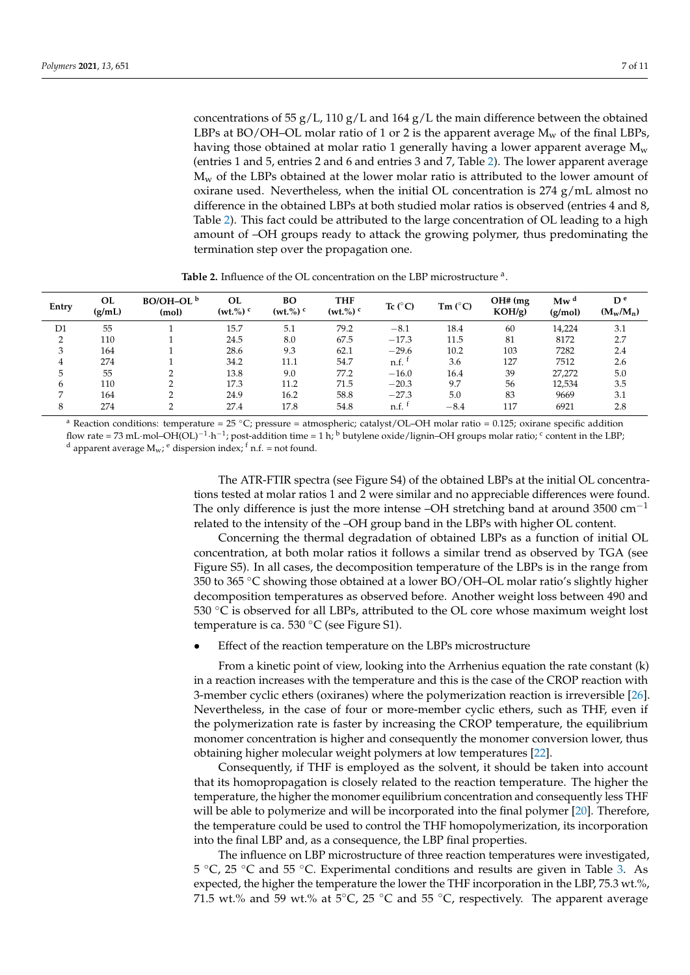concentrations of 55 g/L, 110 g/L and 164 g/L the main difference between the obtained LBPs at BO/OH–OL molar ratio of 1 or 2 is the apparent average  $M_w$  of the final LBPs, having those obtained at molar ratio 1 generally having a lower apparent average  $M_w$ (entries 1 and 5, entries 2 and 6 and entries 3 and 7, Table [2\)](#page-6-0). The lower apparent average  $M_w$  of the LBPs obtained at the lower molar ratio is attributed to the lower amount of oxirane used. Nevertheless, when the initial OL concentration is  $274$  g/mL almost no difference in the obtained LBPs at both studied molar ratios is observed (entries 4 and 8, Table [2\)](#page-6-0). This fact could be attributed to the large concentration of OL leading to a high amount of –OH groups ready to attack the growing polymer, thus predominating the termination step over the propagation one.

<span id="page-6-0"></span>

| Entry | OL<br>(g/mL) | $BO/OH-OLb$<br>(mol) | <b>OL</b><br>$(wt.^{\%})$ <sup>c</sup> | BO<br>$(wt.^{\%})$ <sup>c</sup> | <b>THF</b><br>$(wt,\%)$ c | Tc (°C)                                | $Tm(^{\circ}C)$ | $OH#$ (mg)<br>$KOH/g$ ) | Mw <sup>d</sup><br>(g/mol) | D <sup>e</sup><br>$(M_w/M_n)$ |
|-------|--------------|----------------------|----------------------------------------|---------------------------------|---------------------------|----------------------------------------|-----------------|-------------------------|----------------------------|-------------------------------|
| D1    | 55           |                      | 15.7                                   | 5.1                             | 79.2                      | $-8.1$                                 | 18.4            | 60                      | 14,224                     | 3.1                           |
| ∍     | 110          |                      | 24.5                                   | 8.0                             | 67.5                      | $-17.3$                                | 11.5            | 81                      | 8172                       | 2.7                           |
|       | 164          |                      | 28.6                                   | 9.3                             | 62.1                      | $-29.6$                                | 10.2            | 103                     | 7282                       | 2.4                           |
| 4     | 274          |                      | 34.2                                   | 11.1                            | 54.7                      | $n.f.$ <sup>t</sup>                    | 3.6             | 127                     | 7512                       | 2.6                           |
|       | 55           |                      | 13.8                                   | 9.0                             | 77.2                      | $-16.0$                                | 16.4            | 39                      | 27,272                     | 5.0                           |
| h     | 110          |                      | 17.3                                   | 11.2                            | 71.5                      | $-20.3$                                | 9.7             | 56                      | 12,534                     | 3.5                           |
|       | 164          |                      | 24.9                                   | 16.2                            | 58.8                      | $-27.3$                                | 5.0             | 83                      | 9669                       | 3.1                           |
| 8     | 274          |                      | 27.4                                   | 17.8                            | 54.8                      | $n.f.$ <sup><math>\dagger</math></sup> | $-8.4$          | 117                     | 6921                       | 2.8                           |
|       |              |                      |                                        |                                 |                           |                                        |                 |                         |                            |                               |

Table 2. Influence of the OL concentration on the LBP microstructure<sup>a</sup>.

<sup>a</sup> Reaction conditions: temperature = 25 °C; pressure = atmospheric; catalyst/OL–OH molar ratio = 0.125; oxirane specific addition flow rate = 73 mL·mol–OH(OL)<sup>-1</sup>·h<sup>-1</sup>; post-addition time = 1 h; <sup>b</sup> butylene oxide/lignin–OH groups molar ratio; <sup>c</sup> content in the LBP; <sup>d</sup> apparent average  $M_w$ ; <sup>e</sup> dispersion index; <sup>f</sup> n.f. = not found.

> The ATR-FTIR spectra (see Figure S4) of the obtained LBPs at the initial OL concentrations tested at molar ratios 1 and 2 were similar and no appreciable differences were found. The only difference is just the more intense –OH stretching band at around 3500  $cm^{-1}$ related to the intensity of the –OH group band in the LBPs with higher OL content.

> Concerning the thermal degradation of obtained LBPs as a function of initial OL concentration, at both molar ratios it follows a similar trend as observed by TGA (see Figure S5). In all cases, the decomposition temperature of the LBPs is in the range from 350 to 365 ◦C showing those obtained at a lower BO/OH–OL molar ratio's slightly higher decomposition temperatures as observed before. Another weight loss between 490 and 530 <sup>°</sup>C is observed for all LBPs, attributed to the OL core whose maximum weight lost temperature is ca. 530 ◦C (see Figure S1).

Effect of the reaction temperature on the LBPs microstructure

From a kinetic point of view, looking into the Arrhenius equation the rate constant (k) in a reaction increases with the temperature and this is the case of the CROP reaction with 3-member cyclic ethers (oxiranes) where the polymerization reaction is irreversible [\[26\]](#page-10-21). Nevertheless, in the case of four or more-member cyclic ethers, such as THF, even if the polymerization rate is faster by increasing the CROP temperature, the equilibrium monomer concentration is higher and consequently the monomer conversion lower, thus obtaining higher molecular weight polymers at low temperatures [\[22\]](#page-10-17).

Consequently, if THF is employed as the solvent, it should be taken into account that its homopropagation is closely related to the reaction temperature. The higher the temperature, the higher the monomer equilibrium concentration and consequently less THF will be able to polymerize and will be incorporated into the final polymer [\[20\]](#page-10-15). Therefore, the temperature could be used to control the THF homopolymerization, its incorporation into the final LBP and, as a consequence, the LBP final properties.

The influence on LBP microstructure of three reaction temperatures were investigated, 5 °C, 25 °C and 55 °C. Experimental conditions and results are given in Table [3.](#page-7-0) As expected, the higher the temperature the lower the THF incorporation in the LBP, 75.3 wt.%, 71.5 wt.% and 59 wt.% at 5<sup>°</sup>C, 25 °C and 55 °C, respectively. The apparent average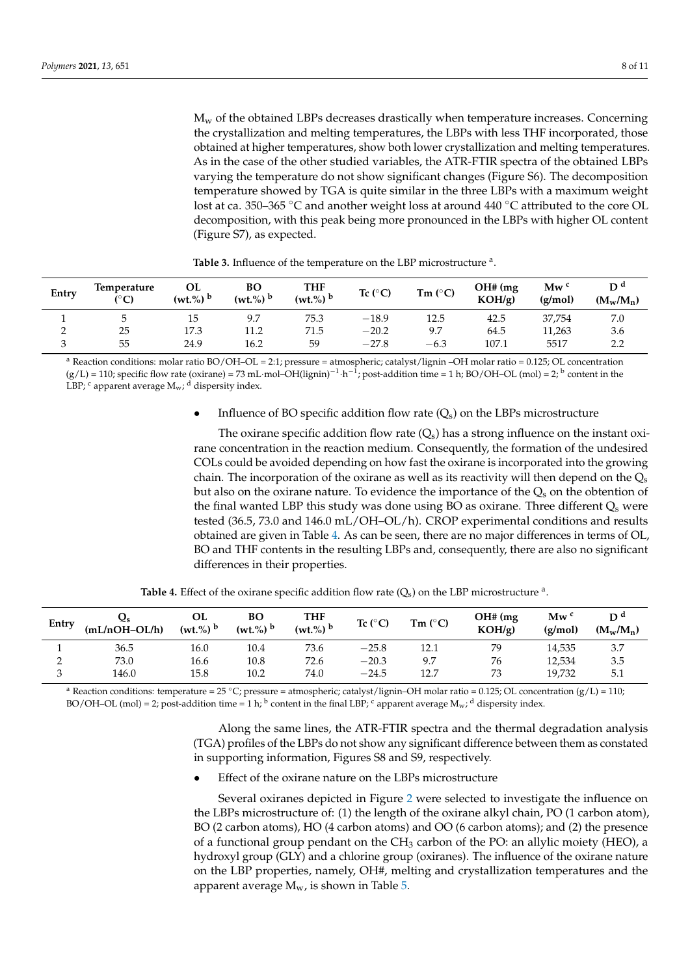$M_{\rm w}$  of the obtained LBPs decreases drastically when temperature increases. Concerning the crystallization and melting temperatures, the LBPs with less THF incorporated, those obtained at higher temperatures, show both lower crystallization and melting temperatures. As in the case of the other studied variables, the ATR-FTIR spectra of the obtained LBPs varying the temperature do not show significant changes (Figure S6). The decomposition temperature showed by TGA is quite similar in the three LBPs with a maximum weight lost at ca. 350–365 ◦C and another weight loss at around 440 ◦C attributed to the core OL decomposition, with this peak being more pronounced in the LBPs with higher OL content

<span id="page-7-0"></span>

| Entry | Temperature<br>(°C) | OL<br>$(wt.^{\%})^b$ | BO<br>$(wt.^{\%})^b$ | THF<br>$(wt.^{\%})^b$ | Tc $(^{\circ}C)$ | $Tm(^{\circ}C)$ | OH# (mg)<br>$KOH/g$ ) | Mw <sup>c</sup><br>(g/mol) | D <sup>d</sup><br>$(M_w/M_n)$ |
|-------|---------------------|----------------------|----------------------|-----------------------|------------------|-----------------|-----------------------|----------------------------|-------------------------------|
|       |                     |                      | 9.7                  | 75.3                  | $-18.9$          | 12.5            | 42.5                  | 37,754                     | 7.0                           |
| ∽     | 25                  | 17.3                 | 11.2                 | 71.5                  | $-20.2$          | 9.7             | 64.5                  | 11,263                     | 3.6                           |
|       | 55                  | 24.9                 | 16.2                 | 59                    | $-27.8$          | $-6.3$          | 107.1                 | 5517                       | 2.2                           |

Table 3. Influence of the temperature on the LBP microstructure <sup>a</sup>.

(Figure S7), as expected.

<sup>a</sup> Reaction conditions: molar ratio BO/OH–OL = 2:1; pressure = atmospheric; catalyst/lignin –OH molar ratio = 0.125; OL concentration  $(g/L) = 110$ ; specific flow rate (oxirane) = 73 mL·mol–OH(lignin)<sup>-1</sup>·h<sup>-1</sup>; post-addition time = 1 h; BO/OH–OL (mol) = 2; <sup>b</sup> content in the LBP;  $\text{c}$  apparent average  $\text{M}_{\text{w}}$ ;  $\text{d}$  dispersity index.

Influence of BO specific addition flow rate  $(Q_s)$  on the LBPs microstructure

The oxirane specific addition flow rate  $(Q_s)$  has a strong influence on the instant oxirane concentration in the reaction medium. Consequently, the formation of the undesired COLs could be avoided depending on how fast the oxirane is incorporated into the growing chain. The incorporation of the oxirane as well as its reactivity will then depend on the  $Q_s$ but also on the oxirane nature. To evidence the importance of the  $Q<sub>s</sub>$  on the obtention of the final wanted LBP this study was done using BO as oxirane. Three different  $Q_s$  were tested (36.5, 73.0 and 146.0 mL/OH–OL/h). CROP experimental conditions and results obtained are given in Table [4.](#page-7-1) As can be seen, there are no major differences in terms of OL, BO and THF contents in the resulting LBPs and, consequently, there are also no significant differences in their properties.

<span id="page-7-1"></span>

| Entry | Qs<br>$(mL/nOH-OL/h)$ | OL<br>$(wt.^{\%})^b$ | BО<br>$(wt.^{\%})^b$ | THF<br>$(wt.^{\%})^b$ | Tc $(^{\circ}C)$ | $Tm (^{\circ}C)$ | OH# (mg)<br>$KOH/g$ ) | Mw <sup>c</sup><br>(g/mol) | D <sup>d</sup><br>$(M_w/M_n)$ |
|-------|-----------------------|----------------------|----------------------|-----------------------|------------------|------------------|-----------------------|----------------------------|-------------------------------|
|       | 36.5                  | 16.0                 | 10.4                 | 73.6                  | $-25.8$          | 12.1             | 79                    | 14,535                     | 3.7                           |
| ∸     | 73.0                  | 16.6                 | 10.8                 | 72.6                  | $-20.3$          | 9.7              | 76                    | 12,534                     | 3.5                           |
|       | 146.0                 | 15.8                 | 10.2                 | 74.0                  | $-24.5$          | 12.7             | 73                    | 19.732                     | 5.1                           |

**Table 4.** Effect of the oxirane specific addition flow rate  $(Q_s)$  on the LBP microstructure  $a$ .

<sup>a</sup> Reaction conditions: temperature = 25 °C; pressure = atmospheric; catalyst/lignin–OH molar ratio = 0.125; OL concentration (g/L) = 110; BO/OH–OL (mol) = 2; post-addition time = 1 h; <sup>b</sup> content in the final LBP; <sup>c</sup> apparent average  $M_{\rm w}$ ; <sup>d</sup> dispersity index.

> Along the same lines, the ATR-FTIR spectra and the thermal degradation analysis (TGA) profiles of the LBPs do not show any significant difference between them as constated in supporting information, Figures S8 and S9, respectively.

Effect of the oxirane nature on the LBPs microstructure

Several oxiranes depicted in Figure [2](#page-8-0) were selected to investigate the influence on the LBPs microstructure of: (1) the length of the oxirane alkyl chain, PO (1 carbon atom), BO (2 carbon atoms), HO (4 carbon atoms) and OO (6 carbon atoms); and (2) the presence of a functional group pendant on the  $CH_3$  carbon of the PO: an allylic moiety (HEO), a hydroxyl group (GLY) and a chlorine group (oxiranes). The influence of the oxirane nature on the LBP properties, namely, OH#, melting and crystallization temperatures and the apparent average  $M_w$ , is shown in Table [5.](#page-8-1)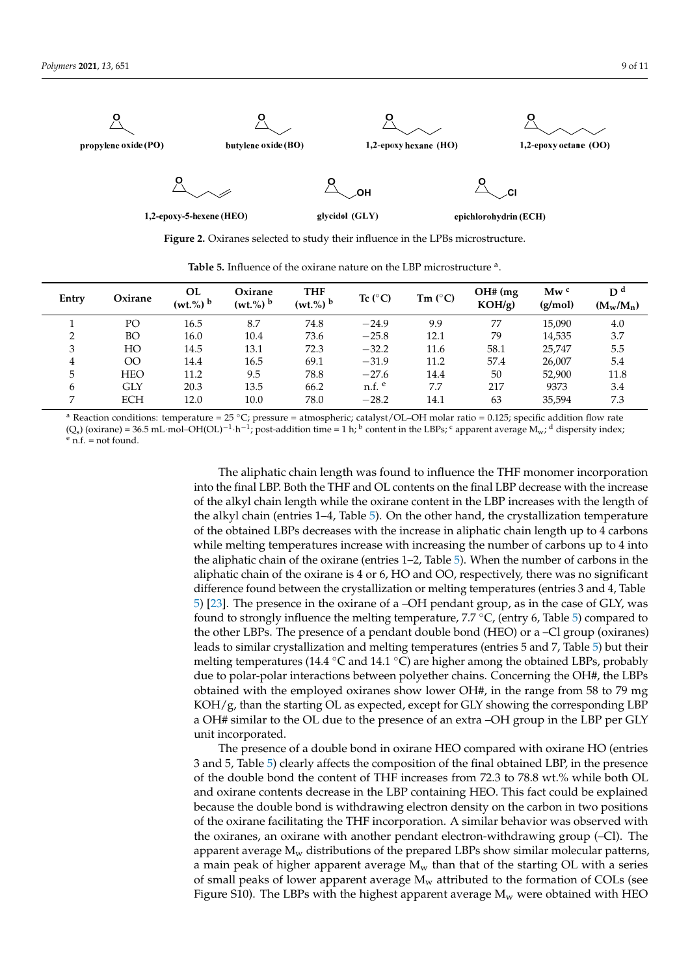<span id="page-8-0"></span>

**Figure 2.** Oxiranes selected to study their influence in the LPBs microstructure. **Figure 2.** Oxiranes selected to study their influence in the LPBs microstructure.

<span id="page-8-1"></span>

| Entry | Oxirane       | <b>OL</b><br>$(wt.^{\%})^b$ | Oxirane<br>$(wt.^{\%})^b$ | <b>THF</b><br>$(wt.^{\%})^b$ | Tc $(^{\circ}C)$    | Tm $(^{\circ}C)$ | OH# (mg)<br>$KOH/g$ ) | Mw <sup>c</sup><br>(g/mol) | D <sup>d</sup><br>$(M_w/M_n)$ |
|-------|---------------|-----------------------------|---------------------------|------------------------------|---------------------|------------------|-----------------------|----------------------------|-------------------------------|
|       | PO            | 16.5                        | 8.7                       | 74.8                         | $-24.9$             | 9.9              | 77                    | 15.090                     | 4.0                           |
| ◠     | <b>BO</b>     | 16.0                        | 10.4                      | 73.6                         | $-25.8$             | 12.1             | 79                    | 14,535                     | 3.7                           |
| 3     | HO            | 14.5                        | 13.1                      | 72.3                         | $-32.2$             | 11.6             | 58.1                  | 25,747                     | 5.5                           |
| 4     | <sub>OO</sub> | 14.4                        | 16.5                      | 69.1                         | $-31.9$             | 11.2             | 57.4                  | 26,007                     | 5.4                           |
| 5     | <b>HEO</b>    | 11.2                        | 9.5                       | 78.8                         | $-27.6$             | 14.4             | 50                    | 52.900                     | 11.8                          |
| 6     | <b>GLY</b>    | 20.3                        | 13.5                      | 66.2                         | $n.f.$ <sup>e</sup> | 7.7              | 217                   | 9373                       | 3.4                           |
| ⇁     | ECH           | 12.0                        | 10.0                      | 78.0                         | $-28.2$             | 14.1             | 63                    | 35,594                     | 7.3                           |

Table 5. Influence of the oxirane nature on the LBP microstructure <sup>a</sup>.

<sup>a</sup> Reaction conditions: temperature = 25 °C; pressure = atmospheric; catalyst/OL–OH molar ratio = 0.125; specific addition flow rate (Q<sub>s</sub>) (oxirane) = 36.5 mL·mol–OH(OL)<sup>-1</sup>·h<sup>-1</sup>; post-addition time = 1 h; <sup>b</sup> content in the LBPs; <sup>c</sup> apparent average M<sub>w</sub>; <sup>d</sup> dispersity index; n.f. = not found.

> The aliphatic chain length was found to influence the THF monomer incorporation into the final LBP. Both the THF and OL contents on the final LBP decrease with the increase of the alkyl chain length while the oxirane content in the LBP increases with the length of the alkyl chain (entries 1–4, Table [5\)](#page-8-1). On the other hand, the crystallization temperature of the obtained LBPs decreases with the increase in aliphatic chain length up to 4 carbons while melting temperatures increase with increasing the number of carbons up to 4 into the aliphatic chain of the oxirane (entries 1–2, Table [5\)](#page-8-1). When the number of carbons in the aliphatic chain of the oxirane is 4 or 6, HO and OO, respectively, there was no significant difference found between the crystallization or melting temperatures (entries 3 and 4, Table [5\)](#page-8-1) [\[23\]](#page-10-18). The presence in the oxirane of a –OH pendant group, as in the case of GLY, was found to strongly influence the melting temperature, 7.7 ◦C, (entry 6, Table [5\)](#page-8-1) compared to the other LBPs. The presence of a pendant double bond (HEO) or a –Cl group (oxiranes) leads to similar crystallization and melting temperatures (entries 5 and 7, Table [5\)](#page-8-1) but their melting temperatures (14.4  $\degree$ C and 14.1  $\degree$ C) are higher among the obtained LBPs, probably due to polar-polar interactions between polyether chains. Concerning the OH#, the LBPs obtained with the employed oxiranes show lower OH#, in the range from 58 to 79 mg KOH/g, than the starting OL as expected, except for GLY showing the corresponding LBP a OH# similar to the OL due to the presence of an extra –OH group in the LBP per GLY unit incorporated.

> The presence of a double bond in oxirane HEO compared with oxirane HO (entries 3 and 5, Table [5\)](#page-8-1) clearly affects the composition of the final obtained LBP, in the presence of the double bond the content of THF increases from 72.3 to 78.8 wt.% while both OL and oxirane contents decrease in the LBP containing HEO. This fact could be explained because the double bond is withdrawing electron density on the carbon in two positions of the oxirane facilitating the THF incorporation. A similar behavior was observed with the oxiranes, an oxirane with another pendant electron-withdrawing group (–Cl). The apparent average  $M_w$  distributions of the prepared LBPs show similar molecular patterns, a main peak of higher apparent average  $M_w$  than that of the starting OL with a series of small peaks of lower apparent average  $M_w$  attributed to the formation of COLs (see Figure S10). The LBPs with the highest apparent average  $M_w$  were obtained with HEO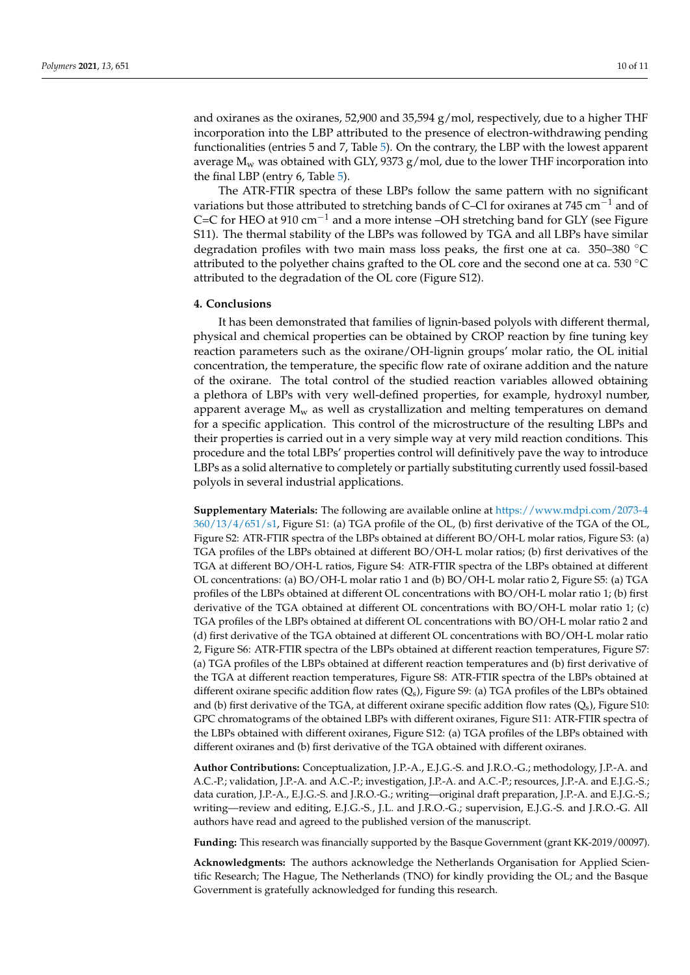and oxiranes as the oxiranes, 52,900 and 35,594 g/mol, respectively, due to a higher THF incorporation into the LBP attributed to the presence of electron-withdrawing pending functionalities (entries 5 and 7, Table [5\)](#page-8-1). On the contrary, the LBP with the lowest apparent average  $M_w$  was obtained with GLY, 9373 g/mol, due to the lower THF incorporation into the final LBP (entry  $6$ , Table  $5$ ).

The ATR-FTIR spectra of these LBPs follow the same pattern with no significant variations but those attributed to stretching bands of C–Cl for oxiranes at 745 cm<sup>-1</sup> and of C=C for HEO at 910 cm−<sup>1</sup> and a more intense –OH stretching band for GLY (see Figure S11). The thermal stability of the LBPs was followed by TGA and all LBPs have similar degradation profiles with two main mass loss peaks, the first one at ca. 350–380  $^{\circ}$ C attributed to the polyether chains grafted to the OL core and the second one at ca. 530 °C attributed to the degradation of the OL core (Figure S12).

### **4. Conclusions**

It has been demonstrated that families of lignin-based polyols with different thermal, physical and chemical properties can be obtained by CROP reaction by fine tuning key reaction parameters such as the oxirane/OH-lignin groups' molar ratio, the OL initial concentration, the temperature, the specific flow rate of oxirane addition and the nature of the oxirane. The total control of the studied reaction variables allowed obtaining a plethora of LBPs with very well-defined properties, for example, hydroxyl number, apparent average  $M_w$  as well as crystallization and melting temperatures on demand for a specific application. This control of the microstructure of the resulting LBPs and their properties is carried out in a very simple way at very mild reaction conditions. This procedure and the total LBPs' properties control will definitively pave the way to introduce LBPs as a solid alternative to completely or partially substituting currently used fossil-based polyols in several industrial applications.

**Supplementary Materials:** The following are available online at [https://www.mdpi.com/2073-4](https://www.mdpi.com/2073-4360/13/4/651/s1) [360/13/4/651/s1,](https://www.mdpi.com/2073-4360/13/4/651/s1) Figure S1: (a) TGA profile of the OL, (b) first derivative of the TGA of the OL, Figure S2: ATR-FTIR spectra of the LBPs obtained at different BO/OH-L molar ratios, Figure S3: (a) TGA profiles of the LBPs obtained at different BO/OH-L molar ratios; (b) first derivatives of the TGA at different BO/OH-L ratios, Figure S4: ATR-FTIR spectra of the LBPs obtained at different OL concentrations: (a) BO/OH-L molar ratio 1 and (b) BO/OH-L molar ratio 2, Figure S5: (a) TGA profiles of the LBPs obtained at different OL concentrations with BO/OH-L molar ratio 1; (b) first derivative of the TGA obtained at different OL concentrations with BO/OH-L molar ratio 1; (c) TGA profiles of the LBPs obtained at different OL concentrations with BO/OH-L molar ratio 2 and (d) first derivative of the TGA obtained at different OL concentrations with BO/OH-L molar ratio 2, Figure S6: ATR-FTIR spectra of the LBPs obtained at different reaction temperatures, Figure S7: (a) TGA profiles of the LBPs obtained at different reaction temperatures and (b) first derivative of the TGA at different reaction temperatures, Figure S8: ATR-FTIR spectra of the LBPs obtained at different oxirane specific addition flow rates  $(Q_s)$ , Figure S9: (a) TGA profiles of the LBPs obtained and (b) first derivative of the TGA, at different oxirane specific addition flow rates  $(Q_s)$ , Figure S10: GPC chromatograms of the obtained LBPs with different oxiranes, Figure S11: ATR-FTIR spectra of the LBPs obtained with different oxiranes, Figure S12: (a) TGA profiles of the LBPs obtained with different oxiranes and (b) first derivative of the TGA obtained with different oxiranes.

**Author Contributions:** Conceptualization, J.P.-A., E.J.G.-S. and J.R.O.-G.; methodology, J.P.-A. and A.C.-P.; validation, J.P.-A. and A.C.-P.; investigation, J.P.-A. and A.C.-P.; resources, J.P.-A. and E.J.G.-S.; data curation, J.P.-A., E.J.G.-S. and J.R.O.-G.; writing—original draft preparation, J.P.-A. and E.J.G.-S.; writing—review and editing, E.J.G.-S., J.L. and J.R.O.-G.; supervision, E.J.G.-S. and J.R.O.-G. All authors have read and agreed to the published version of the manuscript.

**Funding:** This research was financially supported by the Basque Government (grant KK-2019/00097).

**Acknowledgments:** The authors acknowledge the Netherlands Organisation for Applied Scientific Research; The Hague, The Netherlands (TNO) for kindly providing the OL; and the Basque Government is gratefully acknowledged for funding this research.